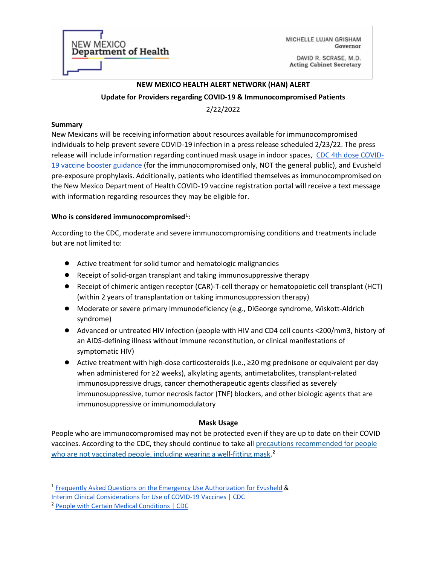**NEW MEXICO** Department of Health

MICHELLE LUJAN GRISHAM Governor

DAVID R. SCRASE, M.D. **Acting Cabinet Secretary** 

# **NEW MEXICO HEALTH ALERT NETWORK (HAN) ALERT Update for Providers regarding COVID-19 & Immunocompromised Patients** 2/22/2022

#### **Summary**

New Mexicans will be receiving information about resources available for immunocompromised individuals to help prevent severe COVID-19 infection in a press release scheduled 2/23/22. The press release will include information regarding continued mask usage in indoor spaces, CDC 4th dose COVID-19 vaccine booster guidance (for the immunocompromised only, NOT the general public), and Evusheld pre-exposure prophylaxis. Additionally, patients who identified themselves as immunocompromised on the New Mexico Department of Health COVID-19 vaccine registration portal will receive a text message with information regarding resources they may be eligible for.

## **Who is considered immunocompromised[1](#page-0-0) :**

According to the CDC, moderate and severe immunocompromising conditions and treatments include but are not limited to:

- Active treatment for solid tumor and hematologic malignancies
- Receipt of solid-organ transplant and taking immunosuppressive therapy
- Receipt of chimeric antigen receptor (CAR)-T-cell therapy or hematopoietic cell transplant (HCT) (within 2 years of transplantation or taking immunosuppression therapy)
- Moderate or severe primary immunodeficiency (e.g., DiGeorge syndrome, Wiskott-Aldrich syndrome)
- Advanced or untreated HIV infection (people with HIV and CD4 cell counts <200/mm3, history of an AIDS-defining illness without immune reconstitution, or clinical manifestations of symptomatic HIV)
- Active treatment with high-dose corticosteroids (i.e., ≥20 mg prednisone or equivalent per day when administered for ≥2 weeks), alkylating agents, antimetabolites, transplant-related immunosuppressive drugs, cancer chemotherapeutic agents classified as severely immunosuppressive, tumor necrosis factor (TNF) blockers, and other biologic agents that are immunosuppressive or immunomodulatory

### **Mask Usage**

People who are immunocompromised may not be protected even if they are up to date on their COVID vaccines. According to the CDC, they should continue to take all precautions recommended for people who are not vaccinated people, including wearing a well-fitting mask. **[2](#page-0-1)**

<span id="page-0-0"></span><sup>1</sup> Frequently Asked Questions on the Emergency Use Authorization for Evusheld &

Interim Clinical Considerations for Use of COVID-19 Vaccines | CDC

<span id="page-0-1"></span><sup>2</sup> People with Certain Medical Conditions | CDC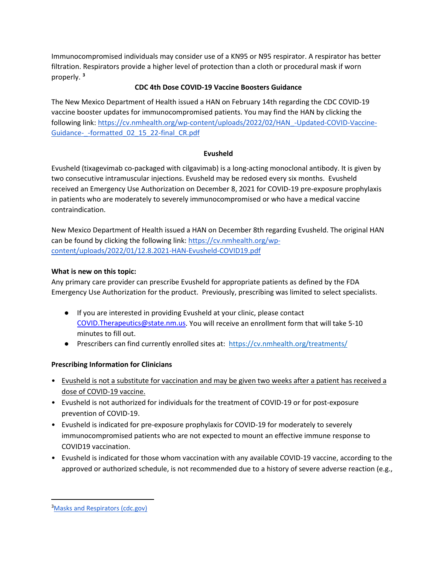Immunocompromised individuals may consider use of a KN95 or N95 respirator. A respirator has better filtration. Respirators provide a higher level of protection than a cloth or procedural mask if worn properly. **[3](#page-1-0)**

## **CDC 4th Dose COVID-19 Vaccine Boosters Guidance**

The New Mexico Department of Health issued a HAN on February 14th regarding the CDC COVID-19 vaccine booster updates for immunocompromised patients. You may find the HAN by clicking the following link: [https://cv.nmhealth.org/wp-content/uploads/2022/02/HAN\\_-](https://cv.nmhealth.org/wp-content/uploads/2022/02/HAN_-Updated-COVID-Vaccine-Guidance-_-formatted_02_15_22-final_CR.pdf)Updated-COVID-Vaccine-Guidance- -formatted 02\_15\_22-final\_CR.pdf

### **Evusheld**

Evusheld (tixagevimab co-packaged with cilgavimab) is a long-acting monoclonal antibody. It is given by two consecutive intramuscular injections. Evusheld may be redosed every six months. Evusheld received an Emergency Use Authorization on December 8, 2021 for COVID-19 pre-exposure prophylaxis in patients who are moderately to severely immunocompromised or who have a medical vaccine contraindication.

New Mexico Department of Health issued a HAN on December 8th regarding Evusheld. The original HAN can be found by clicking the following link: [https://cv.nmhealth.org/wp](https://cv.nmhealth.org/wp-content/uploads/2022/01/12.8.2021-HAN-Evusheld-COVID19.pdf)[content/uploads/2022/01/12.8.2021](https://cv.nmhealth.org/wp-content/uploads/2022/01/12.8.2021-HAN-Evusheld-COVID19.pdf)-HAN-Evusheld-COVID19.pdf

# **What is new on this topic:**

Any primary care provider can prescribe Evusheld for appropriate patients as defined by the FDA Emergency Use Authorization for the product. Previously, prescribing was limited to select specialists.

- If you are interested in providing Evusheld at your clinic, please contact [COVID.Therapeutics@state.nm.us.](mailto:COVID.Therapeutics@state.nm.us) You will receive an enrollment form that will take 5-10 minutes to fill out.
- Prescribers can find currently enrolled sites at: https://cv.nmhealth.org/treatments/

# **Prescribing Information for Clinicians**

- Evusheld is not a substitute for vaccination and may be given two weeks after a patient has received a dose of COVID-19 vaccine.
- Evusheld is not authorized for individuals for the treatment of COVID-19 or for post-exposure prevention of COVID-19.
- Evusheld is indicated for pre-exposure prophylaxis for COVID-19 for moderately to severely immunocompromised patients who are not expected to mount an effective immune response to COVID19 vaccination.
- Evusheld is indicated for those whom vaccination with any available COVID-19 vaccine, according to the approved or authorized schedule, is not recommended due to a history of severe adverse reaction (e.g.,

<span id="page-1-0"></span><sup>&</sup>lt;sup>3</sup>[Masks and Respirators \(cdc.gov\)](https://www.cdc.gov/coronavirus/2019-ncov/prevent-getting-sick/types-of-masks.html)